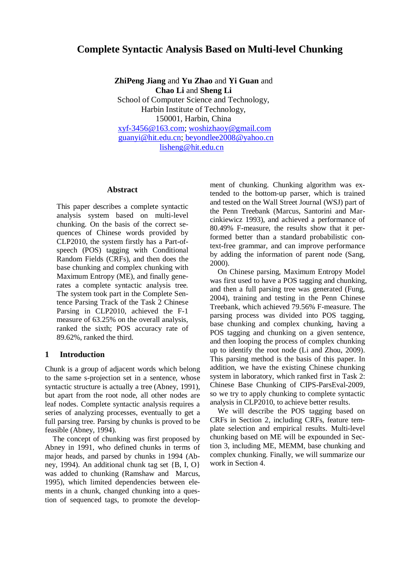# **Complete Syntactic Analysis Based on Multi-level Chunking**

**ZhiPeng Jiang** and **Yu Zhao** and **Yi Guan** and **Chao Li** and **Sheng Li** School of Computer Science and Technology, Harbin Institute of Technology, 150001, Harbin, China [xyf-3456@163.com;](mailto:xyf-3456@163.com) [woshizhaoy@gmail.com](mailto:woshizhaoy@gmail.com) [guanyi@hit.edu.cn;](mailto:guanyi@hit.edu.cn) beyondlee2008@yahoo.cn [lisheng@hit.edu.cn](mailto:lisheng@hit.edu.cn)

### **Abstract**

This paper describes a complete syntactic analysis system based on multi-level chunking. On the basis of the correct sequences of Chinese words provided by CLP2010, the system firstly has a Part-ofspeech (POS) tagging with Conditional Random Fields (CRFs), and then does the base chunking and complex chunking with Maximum Entropy (ME), and finally generates a complete syntactic analysis tree. The system took part in the Complete Sentence Parsing Track of the Task 2 Chinese Parsing in CLP2010, achieved the F-1 measure of 63.25% on the overall analysis, ranked the sixth; POS accuracy rate of 89.62%, ranked the third.

#### **1 Introduction**

Chunk is a group of adjacent words which belong to the same s-projection set in a sentence, whose syntactic structure is actually a tree (Abney, 1991), but apart from the root node, all other nodes are leaf nodes. Complete syntactic analysis requires a series of analyzing processes, eventually to get a full parsing tree. Parsing by chunks is proved to be feasible (Abney, 1994).

The concept of chunking was first proposed by Abney in 1991, who defined chunks in terms of major heads, and parsed by chunks in 1994 (Abney, 1994). An additional chunk tag set {B, I, O} was added to chunking (Ramshaw and Marcus, 1995), which limited dependencies between elements in a chunk, changed chunking into a question of sequenced tags, to promote the development of chunking. Chunking algorithm was extended to the bottom-up parser, which is trained and tested on the Wall Street Journal (WSJ) part of the Penn Treebank (Marcus, Santorini and Marcinkiewicz 1993), and achieved a performance of 80.49% F-measure, the results show that it performed better than a standard probabilistic context-free grammar, and can improve performance by adding the information of parent node (Sang, 2000).

On Chinese parsing, Maximum Entropy Model was first used to have a POS tagging and chunking, and then a full parsing tree was generated (Fung, 2004), training and testing in the Penn Chinese Treebank, which achieved 79.56% F-measure. The parsing process was divided into POS tagging, base chunking and complex chunking, having a POS tagging and chunking on a given sentence, and then looping the process of complex chunking up to identify the root node (Li and Zhou, 2009). This parsing method is the basis of this paper. In addition, we have the existing Chinese chunking system in laboratory, which ranked first in Task 2: Chinese Base Chunking of CIPS-ParsEval-2009, so we try to apply chunking to complete syntactic analysis in CLP2010, to achieve better results.

We will describe the POS tagging based on CRFs in Section 2, including CRFs, feature template selection and empirical results. Multi-level chunking based on ME will be expounded in Section 3, including ME, MEMM, base chunking and complex chunking. Finally, we will summarize our work in Section 4.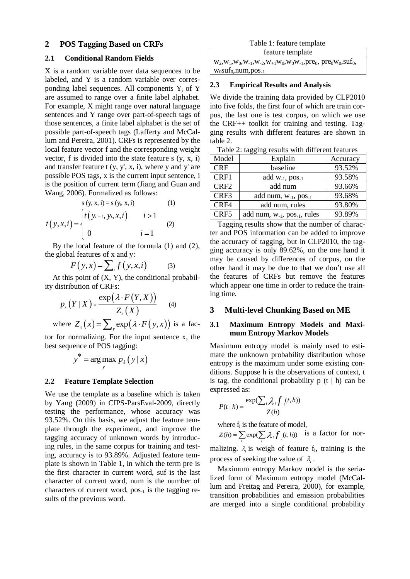### **2 POS Tagging Based on CRFs**

### **2.1 Conditional Random Fields**

X is a random variable over data sequences to be labeled, and Y is a random variable over corresponding label sequences. All components Y<sup>i</sup> of Y are assumed to range over a finite label alphabet. For example, X might range over natural language sentences and Y range over part-of-speech tags of those sentences, a finite label alphabet is the set of possible part-of-speech tags (Lafferty and McCallum and Pereira, 2001). CRFs is represented by the local feature vector f and the corresponding weight vector, f is divided into the state feature  $s(y, x, i)$ and transfer feature  $t (y, y', x, i)$ , where y and y' are possible POS tags, x is the current input sentence, i is the position of current term (Jiang and Guan and Wang, 2006). Formalized as follows:

$$
s (y, x, i) = s (y_i, x, i)
$$
(1)  

$$
t (y, x, i) = \begin{cases} t (y_{i-1}, y_i, x, i) & i > 1 \\ 0 & i = 1 \end{cases}
$$
(2)

By the local feature of the formula (1) and (2), the global features of x and y:

$$
F(y,x) = \sum_{i} f(y,x,i) \tag{3}
$$

At this point of  $(X, Y)$ , the conditional probabil-

ity distribution of CRFs:  
\n
$$
p_{\lambda}(Y | X) = \frac{\exp(\lambda \cdot F(Y, X))}{Z_{\lambda}(X)}
$$
\n(4)

where  $Z_{\lambda}(x) = \sum_{y} \exp(\lambda \cdot F(y, x))$  is a fac-

tor for normalizing. For the input sentence x, the best sequence of POS tagging:

$$
y^* = \arg\max_{y} p_{\lambda}(y \mid x)
$$

#### **2.2 Feature Template Selection**

We use the template as a baseline which is taken by Yang (2009) in CIPS-ParsEval-2009, directly testing the performance, whose accuracy was 93.52%. On this basis, we adjust the feature template through the experiment, and improve the tagging accuracy of unknown words by introducing rules, in the same corpus for training and testing, accuracy is to 93.89%. Adjusted feature template is shown in Table 1, in which the term pre is the first character in current word, suf is the last character of current word, num is the number of characters of current word,  $pos_{-1}$  is the tagging results of the previous word.

feature template

 $w_2, w_1, w_0, w_{-1}, w_{-2}, w_{+1}w_0, w_0w_{-1}, pre_0, pre_0w_0, suf_0,$  $w_0$ suf $_0$ , num, pos<sub>-1</sub>

#### **2.3 Empirical Results and Analysis**

We divide the training data provided by CLP2010 into five folds, the first four of which are train corpus, the last one is test corpus, on which we use the CRF++ toolkit for training and testing. Tagging results with different features are shown in table 2.

Table 2: tagging results with different features

| Model            | Explain                                      | Accuracy |
|------------------|----------------------------------------------|----------|
| <b>CRF</b>       | baseline                                     | 93.52%   |
| CRF1             | add $W_{-1}$ , pos <sub>-1</sub>             | 93.58%   |
| CRF <sub>2</sub> | add num                                      | 93.66%   |
| CRF3             | add num, w <sub>-1</sub> , pos <sub>-1</sub> | 93.68%   |
| CRF4             | add num, rules                               | 93.80%   |
| CRF5             | add num, $w_{-1}$ , pos $_{-1}$ , rules      | 93.89%   |

Tagging results show that the number of character and POS information can be added to improve the accuracy of tagging, but in CLP2010, the tagging accuracy is only 89.62%, on the one hand it may be caused by differences of corpus, on the other hand it may be due to that we don't use all the features of CRFs but remove the features which appear one time in order to reduce the training time.

#### **3 Multi-level Chunking Based on ME**

### **3.1 Maximum Entropy Models and Maximum Entropy Markov Models**

Maximum entropy model is mainly used to estimate the unknown probability distribution whose entropy is the maximum under some existing conditions. Suppose h is the observations of context, t is tag, the conditional probability  $p(t | h)$  can be expressed as:

$$
P(t|h) = \frac{\exp(\sum_i \lambda_i f_i(t, h))}{Z(h)}
$$

where  $f_i$  is the feature of model,

where  $\mathbf{r}_i$  is the reature of model,<br>  $Z(h) = \sum_i \exp(\sum_i \lambda_i f_i(t, h))$  is a factor for nor-

malizing.  $\lambda_i$  is weigh of feature  $f_i$ , training is the process of seeking the value of  $\lambda_i$ .

Maximum entropy Markov model is the serialized form of Maximum entropy model (McCallum and Freitag and Pereira, 2000), for example, transition probabilities and emission probabilities are merged into a single conditional probability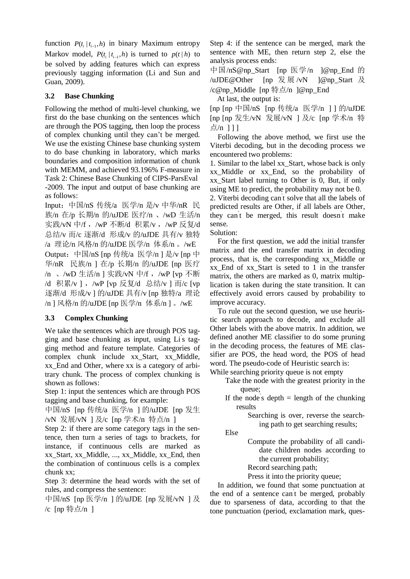function  $P(t_i | t_{i-1}, h)$  in binary Maximum entropy Markov model,  $P(t_i | t_{i-1}, h)$  is turned to  $p(t | h)$  to be solved by adding features which can express previously tagging information (Li and Sun and Guan, 2009).

# **3.2 Base Chunking**

Following the method of multi-level chunking, we first do the base chunking on the sentences which are through the POS tagging, then loop the process of complex chunking until they can't be merged. We use the existing Chinese base chunking system to do base chunking in laboratory, which marks boundaries and composition information of chunk with MEMM, and achieved 93.196% F-measure in Task 2: Chinese Base Chunking of CIPS-ParsEval -2009. The input and output of base chunking are as follows:

Input:中国/nS 传统/a 医学/n 是/v 中华/nR 民 族/n 在/p 长期/n 的/uJDE 医疗/n 、/wD 生活/n 实践/vN 中/f, /wP 不断/d 积累/v, /wP 反复/d 总结/v 而/c 逐渐/d 形成/v 的/uJDE 具有/v 独特 /a 理论/n 风格/n 的/uJDE 医学/n 体系/n 。/wE Output:中国/nS [np 传统/a 医学/n ] 是/v [np 中 华/nR 民族/n ] 在/p 长期/n 的/uJDE [np 医疗 /n 、/wD 生活/n ] 实践/vN 中/f , /wP [vp 不断 /d 积累/v 1, /wP [vp 反复/d 总结/v 1 而/c [vp 逐渐/d 形成/v ] 的/uJDE 具有/v [np 独特/a 理论 /n ] 风格/n 的/uJDE [np 医学/n 体系/n ] 。/wE

# **3.3 Complex Chunking**

We take the sentences which are through POS tagging and base chunking as input, using Li' s tagging method and feature template. Categories of complex chunk include xx\_Start, xx\_Middle, xx\_End and Other, where xx is a category of arbitrary chunk. The process of complex chunking is shown as follows:

Step 1: input the sentences which are through POS tagging and base chunking, for example:

中国/nS [np 传统/a 医学/n ] 的/uJDE [np 发生 /vN 发展/vN ] 及/c [np 学术/n 特点/n ]

Step 2: if there are some category tags in the sentence, then turn a series of tags to brackets, for instance, if continuous cells are marked as xx\_Start, xx\_Middle, ..., xx\_Middle, xx\_End, then the combination of continuous cells is a complex chunk xx;

Step 3: determine the head words with the set of rules, and compress the sentence:

中国/nS [np 医学/n ] 的/uJDE [np 发展/vN ] 及 /c [np 特点/n ]

Step 4: if the sentence can be merged, mark the sentence with ME, then return step 2, else the analysis process ends:

中国/nS@np\_Start [np 医学/n ]@np\_End 的 /uJDE@Other [np 发展/vN ]@np\_Start 及 /c@np\_Middle [np 特点/n ]@np\_End

At last, the output is:

[np [np 中国/nS [np 传统/a 医学/n ] ] 的/uJDE [np [np 发生/vN 发展/vN ] 及/c [np 学术/n 特 点/n 111

Following the above method, we first use the Viterbi decoding, but in the decoding process we encountered two problems:

1. Similar to the label xx\_Start, whose back is only xx\_Middle or xx\_End, so the probability of xx\_Start label turning to Other is 0, But, if only using ME to predict, the probability may not be 0.

2. Viterbi decoding can' t solve that all the labels of predicted results are Other, if all labels are Other, they can't be merged, this result doesn't make sense.

Solution:

For the first question, we add the initial transfer matrix and the end transfer matrix in decoding process, that is, the corresponding xx\_Middle or xx\_End of xx\_Start is seted to 1 in the transfer matrix, the others are marked as 0, matrix multiplication is taken during the state transition. It can effectively avoid errors caused by probability to improve accuracy.

To rule out the second question, we use heuristic search approach to decode, and exclude all Other labels with the above matrix. In addition, we defined another ME classifier to do some pruning in the decoding process, the features of ME classifier are POS, the head word, the POS of head word. The pseudo-code of Heuristic search is:

While searching priority queue is not empty

Take the node with the greatest priority in the queue;

- If the node's depth  $=$  length of the chunking results
	- Searching is over, reverse the searching path to get searching results;

Else

Compute the probability of all candidate children nodes according to the current probability;

Record searching path;

Press it into the priority queue;

In addition, we found that some punctuation at the end of a sentence can' t be merged, probably due to sparseness of data, according to that the tone punctuation (period, exclamation mark, ques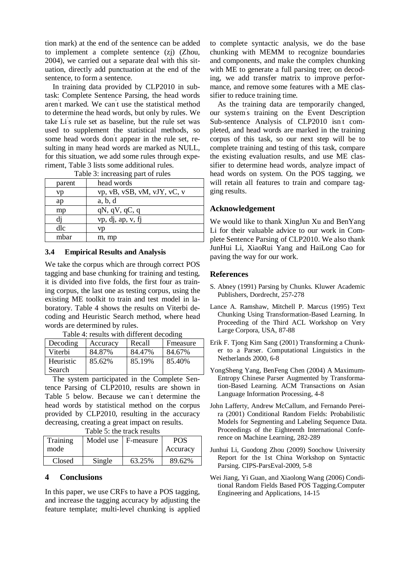tion mark) at the end of the sentence can be added to implement a complete sentence (zj) (Zhou, 2004), we carried out a separate deal with this situation, directly add punctuation at the end of the sentence, to form a sentence.

In training data provided by CLP2010 in subtask: Complete Sentence Parsing, the head words aren' t marked. We can ' t use the statistical method to determine the head words, but only by rules. We take Li' s rule set as baseline, but the rule set was used to supplement the statistical methods, so some head words don't appear in the rule set, resulting in many head words are marked as NULL, for this situation, we add some rules through experiment, Table 3 lists some additional rules.

| raone <i>J</i> . Increasing part or rancs |                             |  |  |  |
|-------------------------------------------|-----------------------------|--|--|--|
| parent                                    | head words                  |  |  |  |
| vp                                        | vp, vB, vSB, vM, vJY, vC, v |  |  |  |
| ap                                        | a, b, d                     |  |  |  |
| mp                                        | $qN$ , $qV$ , $qC$ , $q$    |  |  |  |
| dj                                        | vp, dj, ap, v, fj           |  |  |  |
| dlc                                       | vn                          |  |  |  |
| mbar                                      | m, mp                       |  |  |  |

Table 3: increasing part of rules

#### **3.4 Empirical Results and Analysis**

We take the corpus which are through correct POS tagging and base chunking for training and testing, it is divided into five folds, the first four as training corpus, the last one as testing corpus, using the existing ME toolkit to train and test model in laboratory. Table 4 shows the results on Viterbi decoding and Heuristic Search method, where head words are determined by rules.

Table 4: results with different decoding

| Decoding  | Accuracy | Recall | Fmeasure |
|-----------|----------|--------|----------|
| Viterbi   | 84.87%   | 84.47% | 84.67%   |
| Heuristic | 85.62%   | 85.19% | 85.40%   |
| Search    |          |        |          |

The system participated in the Complete Sentence Parsing of CLP2010, results are shown in Table 5 below. Because we can' t determine the head words by statistical method on the corpus provided by CLP2010, resulting in the accuracy decreasing, creating a great impact on results.

Table 5: the track results

| Training<br>mode | Model use | F-measure | POS<br>Accuracy |
|------------------|-----------|-----------|-----------------|
| Closed           | Single    | 63.25%    | 89.62%          |

## **4 Conclusions**

In this paper, we use CRFs to have a POS tagging, and increase the tagging accuracy by adjusting the feature template; multi-level chunking is applied to complete syntactic analysis, we do the base chunking with MEMM to recognize boundaries and components, and make the complex chunking with ME to generate a full parsing tree; on decoding, we add transfer matrix to improve performance, and remove some features with a ME classifier to reduce training time.

As the training data are temporarily changed, our system' s training on the Event Description Sub-sentence Analysis of CLP2010 isn' t completed, and head words are marked in the training corpus of this task, so our next step will be to complete training and testing of this task, compare the existing evaluation results, and use ME classifier to determine head words, analyze impact of head words on system. On the POS tagging, we will retain all features to train and compare tagging results.

### **Acknowledgement**

We would like to thank XingJun Xu and BenYang Li for their valuable advice to our work in Complete Sentence Parsing of CLP2010. We also thank JunHui Li, XiaoRui Yang and HaiLong Cao for paving the way for our work.

#### **References**

- S. Abney (1991) Parsing by Chunks. Kluwer Academic Publishers, Dordrecht, 257-278
- Lance A. Ramshaw, Mitchell P. Marcus (1995) Text Chunking Using Transformation-Based Learning. In Proceeding of the Third ACL Workshop on Very Large Corpora, USA, 87-88
- Erik F. Tjong Kim Sang (2001) Transforming a Chunker to a Parser. Computational Linguistics in the Netherlands 2000, 6-8
- YongSheng Yang, BenFeng Chen (2004) A Maximum-Entropy Chinese Parser Augmented by Transformation-Based Learning. ACM Transactions on Asian Language Information Processing, 4-8
- John Lafferty, Andrew McCallum, and Fernando Pereira (2001) Conditional Random Fields: Probabilistic Models for Segmenting and Labeling Sequence Data. Proceedings of the Eighteenth International Conference on Machine Learning, 282-289
- Junhui Li, Guodong Zhou (2009) Soochow University Report for the 1st China Workshop on Syntactic Parsing. CIPS-ParsEval-2009, 5-8
- Wei Jiang, Yi Guan, and Xiaolong Wang (2006) Conditional Random Fields Based POS Tagging.Computer Engineering and Applications, 14-15